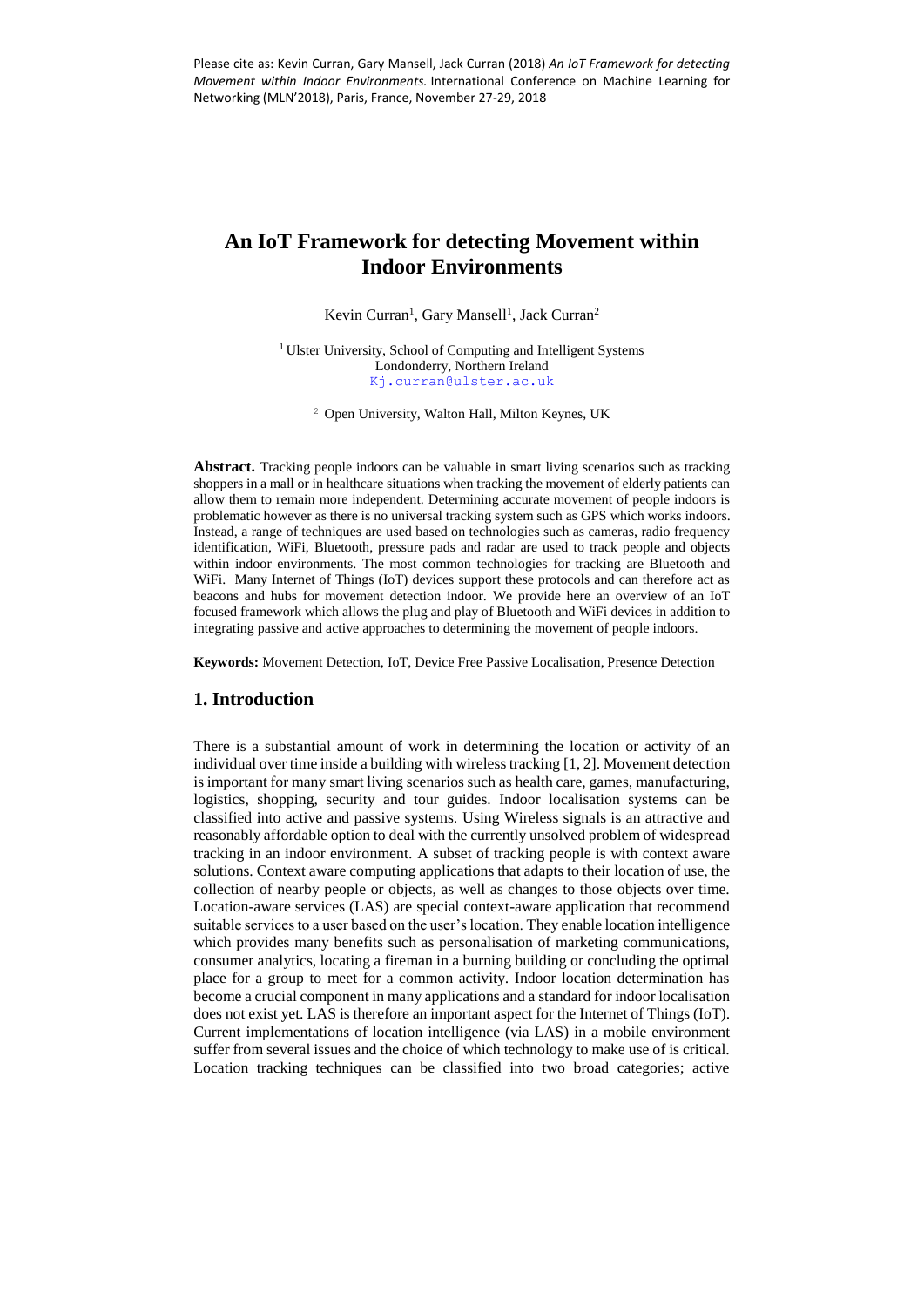# **An IoT Framework for detecting Movement within Indoor Environments**

Kevin Curran<sup>1</sup>, Gary Mansell<sup>1</sup>, Jack Curran<sup>2</sup>

<sup>1</sup> Ulster University, School of Computing and Intelligent Systems Londonderry, Northern Ireland [Kj.curran@ulster.ac.uk](mailto:Kj.curran@ulster.ac.uk)

<sup>2</sup> Open University, Walton Hall, Milton Keynes, UK

**Abstract.** Tracking people indoors can be valuable in smart living scenarios such as tracking shoppers in a mall or in healthcare situations when tracking the movement of elderly patients can allow them to remain more independent. Determining accurate movement of people indoors is problematic however as there is no universal tracking system such as GPS which works indoors. Instead, a range of techniques are used based on technologies such as cameras, radio frequency identification, WiFi, Bluetooth, pressure pads and radar are used to track people and objects within indoor environments. The most common technologies for tracking are Bluetooth and WiFi. Many Internet of Things (IoT) devices support these protocols and can therefore act as beacons and hubs for movement detection indoor. We provide here an overview of an IoT focused framework which allows the plug and play of Bluetooth and WiFi devices in addition to integrating passive and active approaches to determining the movement of people indoors.

**Keywords:** Movement Detection, IoT, Device Free Passive Localisation, Presence Detection

### **1. Introduction**

There is a substantial amount of work in determining the location or activity of an individual over time inside a building with wireless tracking [1, 2]. Movement detection is important for many smart living scenarios such as health care, games, manufacturing, logistics, shopping, security and tour guides. Indoor localisation systems can be classified into active and passive systems. Using Wireless signals is an attractive and reasonably affordable option to deal with the currently unsolved problem of widespread tracking in an indoor environment. A subset of tracking people is with context aware solutions. Context aware computing applications that adapts to their location of use, the collection of nearby people or objects, as well as changes to those objects over time. Location-aware services (LAS) are special context-aware application that recommend suitable services to a user based on the user's location. They enable location intelligence which provides many benefits such as personalisation of marketing communications, consumer analytics, locating a fireman in a burning building or concluding the optimal place for a group to meet for a common activity. Indoor location determination has become a crucial component in many applications and a standard for indoor localisation does not exist yet. LAS is therefore an important aspect for the Internet of Things (IoT). Current implementations of location intelligence (via LAS) in a mobile environment suffer from several issues and the choice of which technology to make use of is critical. Location tracking techniques can be classified into two broad categories; active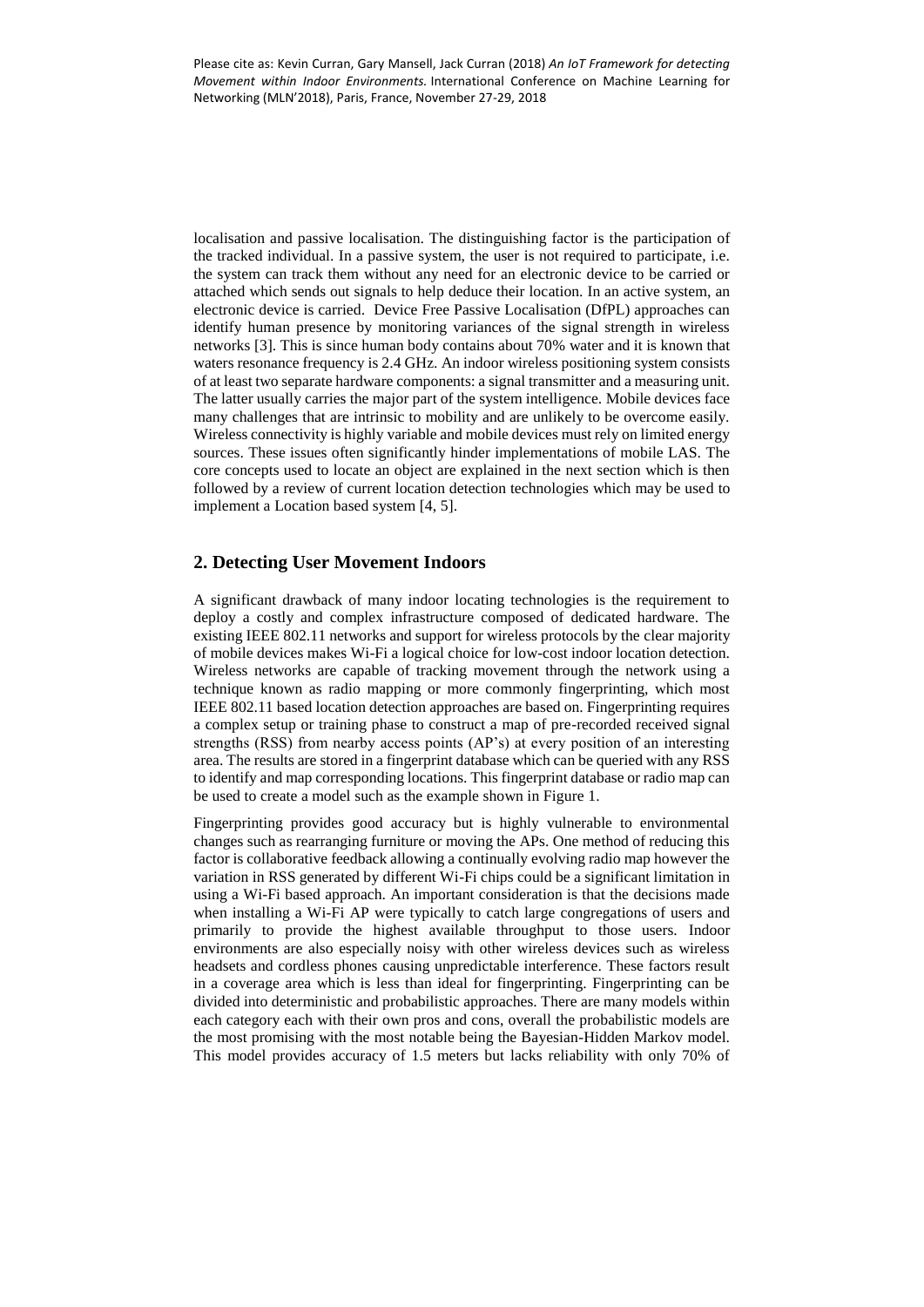localisation and passive localisation. The distinguishing factor is the participation of the tracked individual. In a passive system, the user is not required to participate, i.e. the system can track them without any need for an electronic device to be carried or attached which sends out signals to help deduce their location. In an active system, an electronic device is carried. Device Free Passive Localisation (DfPL) approaches can identify human presence by monitoring variances of the signal strength in wireless networks [3]. This is since human body contains about 70% water and it is known that waters resonance frequency is 2.4 GHz. An indoor wireless positioning system consists of at least two separate hardware components: a signal transmitter and a measuring unit. The latter usually carries the major part of the system intelligence. Mobile devices face many challenges that are intrinsic to mobility and are unlikely to be overcome easily. Wireless connectivity is highly variable and mobile devices must rely on limited energy sources. These issues often significantly hinder implementations of mobile LAS. The core concepts used to locate an object are explained in the next section which is then followed by a review of current location detection technologies which may be used to implement a Location based system [4, 5].

# **2. Detecting User Movement Indoors**

A significant drawback of many indoor locating technologies is the requirement to deploy a costly and complex infrastructure composed of dedicated hardware. The existing IEEE 802.11 networks and support for wireless protocols by the clear majority of mobile devices makes Wi-Fi a logical choice for low-cost indoor location detection. Wireless networks are capable of tracking movement through the network using a technique known as radio mapping or more commonly fingerprinting, which most IEEE 802.11 based location detection approaches are based on. Fingerprinting requires a complex setup or training phase to construct a map of pre-recorded received signal strengths (RSS) from nearby access points (AP's) at every position of an interesting area. The results are stored in a fingerprint database which can be queried with any RSS to identify and map corresponding locations. This fingerprint database or radio map can be used to create a model such as the example shown in [Figure 1.](#page-2-0)

Fingerprinting provides good accuracy but is highly vulnerable to environmental changes such as rearranging furniture or moving the APs. One method of reducing this factor is collaborative feedback allowing a continually evolving radio map however the variation in RSS generated by different Wi-Fi chips could be a significant limitation in using a Wi-Fi based approach. An important consideration is that the decisions made when installing a Wi-Fi AP were typically to catch large congregations of users and primarily to provide the highest available throughput to those users. Indoor environments are also especially noisy with other wireless devices such as wireless headsets and cordless phones causing unpredictable interference. These factors result in a coverage area which is less than ideal for fingerprinting. Fingerprinting can be divided into deterministic and probabilistic approaches. There are many models within each category each with their own pros and cons, overall the probabilistic models are the most promising with the most notable being the Bayesian-Hidden Markov model. This model provides accuracy of 1.5 meters but lacks reliability with only 70% of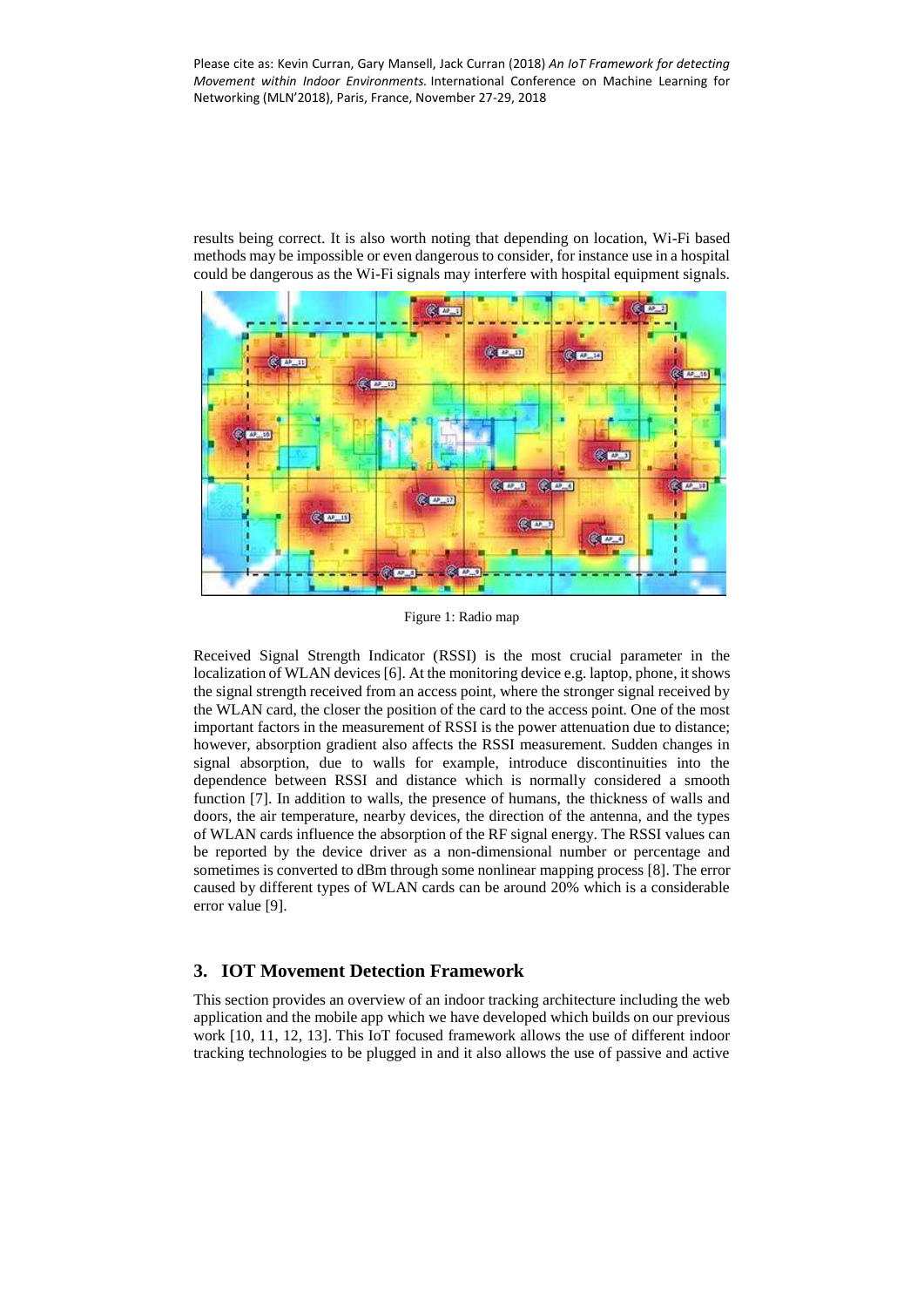

results being correct. It is also worth noting that depending on location, Wi-Fi based methods may be impossible or even dangerous to consider, for instance use in a hospital could be dangerous as the Wi-Fi signals may interfere with hospital equipment signals.

Figure 1: Radio map

<span id="page-2-0"></span>Received Signal Strength Indicator (RSSI) is the most crucial parameter in the localization of WLAN devices [6]. At the monitoring device e.g. laptop, phone, it shows the signal strength received from an access point, where the stronger signal received by the WLAN card, the closer the position of the card to the access point. One of the most important factors in the measurement of RSSI is the power attenuation due to distance; however, absorption gradient also affects the RSSI measurement. Sudden changes in signal absorption, due to walls for example, introduce discontinuities into the dependence between RSSI and distance which is normally considered a smooth function [7]. In addition to walls, the presence of humans, the thickness of walls and doors, the air temperature, nearby devices, the direction of the antenna, and the types of WLAN cards influence the absorption of the RF signal energy. The RSSI values can be reported by the device driver as a non-dimensional number or percentage and sometimes is converted to dBm through some nonlinear mapping process [8]. The error caused by different types of WLAN cards can be around 20% which is a considerable error value [9].

# **3. IOT Movement Detection Framework**

This section provides an overview of an indoor tracking architecture including the web application and the mobile app which we have developed which builds on our previous work [10, 11, 12, 13]. This IoT focused framework allows the use of different indoor tracking technologies to be plugged in and it also allows the use of passive and active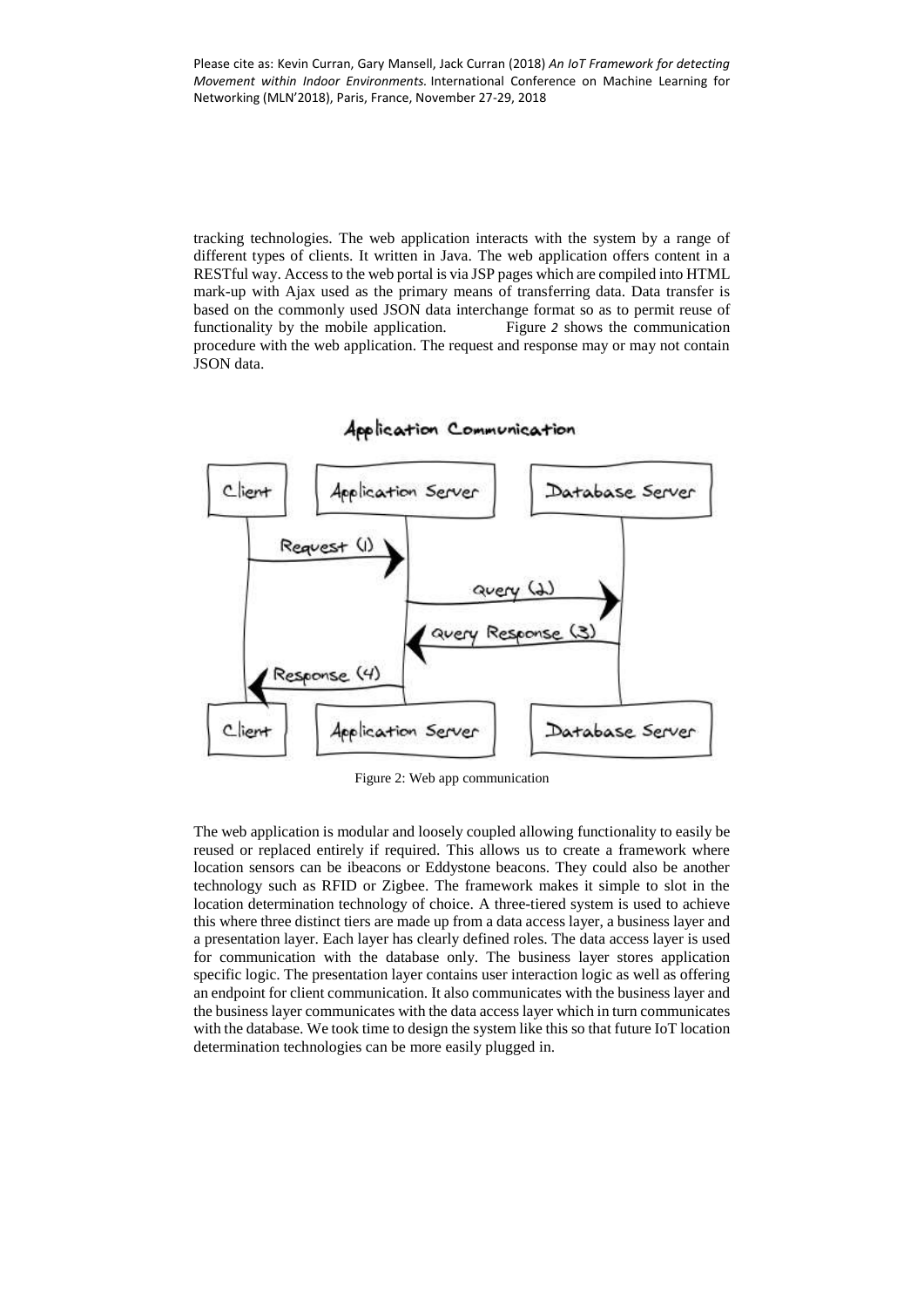tracking technologies. The web application interacts with the system by a range of different types of clients. It written in Java. The web application offers content in a RESTful way. Access to the web portal is via JSP pages which are compiled into HTML mark-up with Ajax used as the primary means of transferring data. Data transfer is based on the commonly used JSON data interchange format so as to permit reuse of functionality by the mobile application. [Figure](#page-3-0) *2* shows the communication procedure with the web application. The request and response may or may not contain JSON data.



Application Communication

Figure 2: Web app communication

<span id="page-3-0"></span>The web application is modular and loosely coupled allowing functionality to easily be reused or replaced entirely if required. This allows us to create a framework where location sensors can be ibeacons or Eddystone beacons. They could also be another technology such as RFID or Zigbee. The framework makes it simple to slot in the location determination technology of choice. A three-tiered system is used to achieve this where three distinct tiers are made up from a data access layer, a business layer and a presentation layer. Each layer has clearly defined roles. The data access layer is used for communication with the database only. The business layer stores application specific logic. The presentation layer contains user interaction logic as well as offering an endpoint for client communication. It also communicates with the business layer and the business layer communicates with the data access layer which in turn communicates with the database. We took time to design the system like this so that future IoT location determination technologies can be more easily plugged in.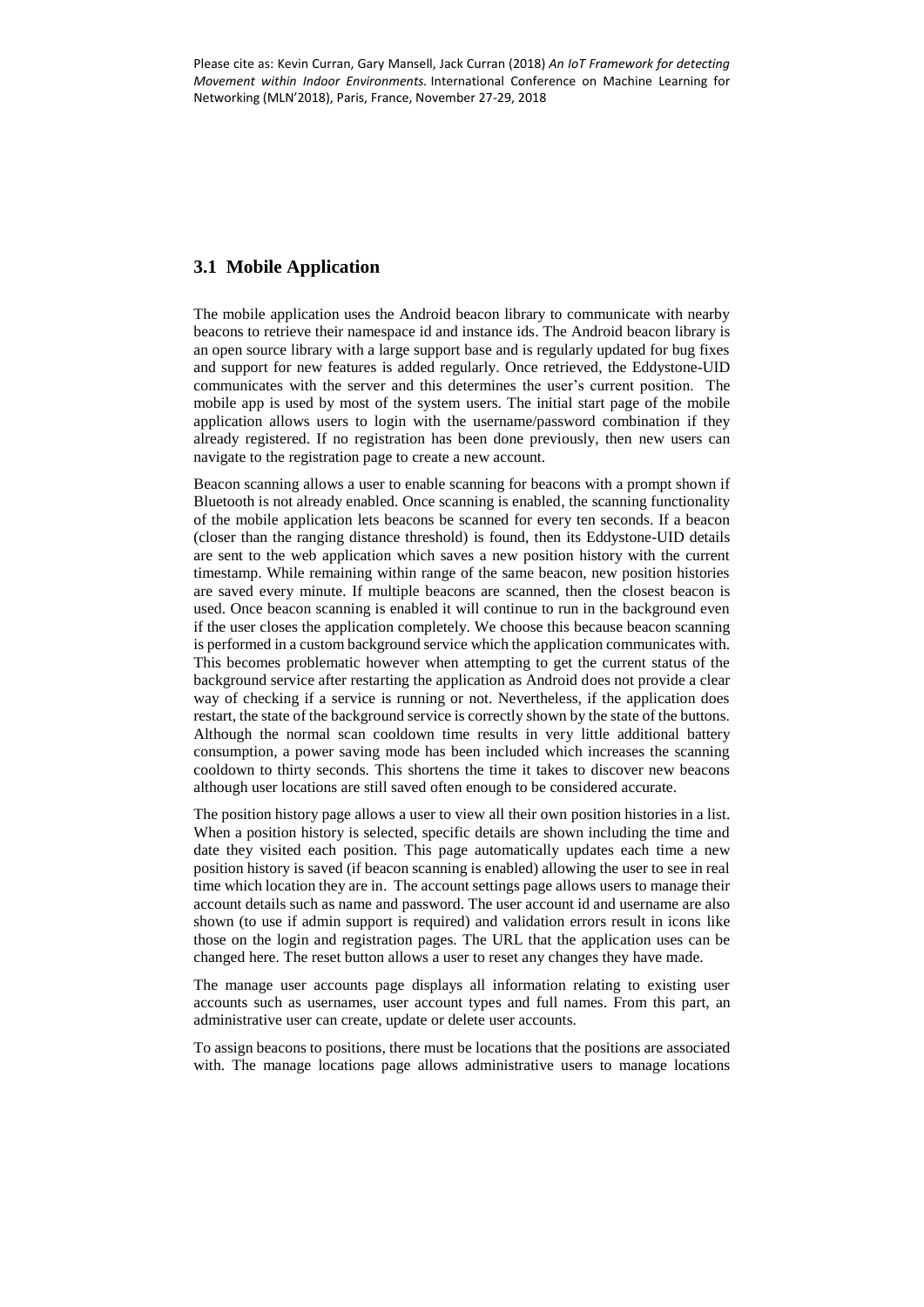# **3.1 Mobile Application**

The mobile application uses the Android beacon library to communicate with nearby beacons to retrieve their namespace id and instance ids. The Android beacon library is an open source library with a large support base and is regularly updated for bug fixes and support for new features is added regularly. Once retrieved, the Eddystone-UID communicates with the server and this determines the user's current position. The mobile app is used by most of the system users. The initial start page of the mobile application allows users to login with the username/password combination if they already registered. If no registration has been done previously, then new users can navigate to the registration page to create a new account.

Beacon scanning allows a user to enable scanning for beacons with a prompt shown if Bluetooth is not already enabled. Once scanning is enabled, the scanning functionality of the mobile application lets beacons be scanned for every ten seconds. If a beacon (closer than the ranging distance threshold) is found, then its Eddystone-UID details are sent to the web application which saves a new position history with the current timestamp. While remaining within range of the same beacon, new position histories are saved every minute. If multiple beacons are scanned, then the closest beacon is used. Once beacon scanning is enabled it will continue to run in the background even if the user closes the application completely. We choose this because beacon scanning is performed in a custom background service which the application communicates with. This becomes problematic however when attempting to get the current status of the background service after restarting the application as Android does not provide a clear way of checking if a service is running or not. Nevertheless, if the application does restart, the state of the background service is correctly shown by the state of the buttons. Although the normal scan cooldown time results in very little additional battery consumption, a power saving mode has been included which increases the scanning cooldown to thirty seconds. This shortens the time it takes to discover new beacons although user locations are still saved often enough to be considered accurate.

The position history page allows a user to view all their own position histories in a list. When a position history is selected, specific details are shown including the time and date they visited each position. This page automatically updates each time a new position history is saved (if beacon scanning is enabled) allowing the user to see in real time which location they are in. The account settings page allows users to manage their account details such as name and password. The user account id and username are also shown (to use if admin support is required) and validation errors result in icons like those on the login and registration pages. The URL that the application uses can be changed here. The reset button allows a user to reset any changes they have made.

The manage user accounts page displays all information relating to existing user accounts such as usernames, user account types and full names. From this part, an administrative user can create, update or delete user accounts.

To assign beacons to positions, there must be locations that the positions are associated with. The manage locations page allows administrative users to manage locations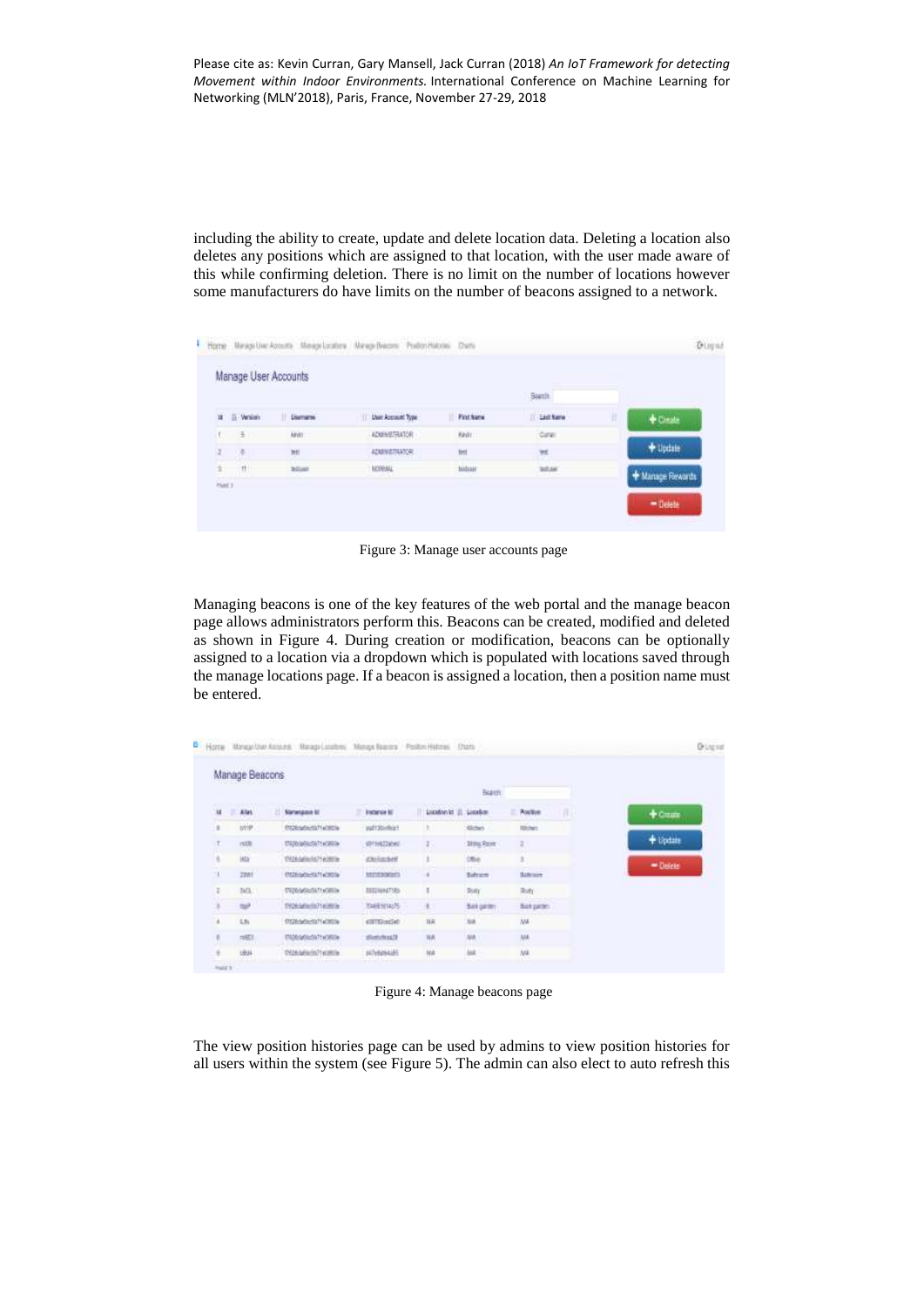including the ability to create, update and delete location data. Deleting a location also deletes any positions which are assigned to that location, with the user made aware of this while confirming deletion. There is no limit on the number of locations however some manufacturers do have limits on the number of beacons assigned to a network.

|                  |           |                 |                   |                 | Manage User Accounts |                              |  |
|------------------|-----------|-----------------|-------------------|-----------------|----------------------|------------------------------|--|
|                  | Syath.    |                 |                   |                 |                      |                              |  |
| $+$ Onde         | Last from | <b>Finthane</b> | User Account Type | <b>Charlane</b> | at it Writer         |                              |  |
|                  | Care      | Kevitt          | ADMINISTRATOR     | ARVILLE         | 130                  |                              |  |
| $+$ Update       | int.      | test            | ADMINISTRATOR     | <b>MAI</b>      | $-10$                |                              |  |
| + Manage Rewards | MAK       | Midson          | <b>NOTEAU</b>     | 30am            | $^{\dagger}$         |                              |  |
|                  |           |                 |                   |                 |                      | z<br>$\pm$<br>m <sub>1</sub> |  |

Figure 3: Manage user accounts page

Managing beacons is one of the key features of the web portal and the manage beacon page allows administrators perform this. Beacons can be created, modified and deleted as shown in [Figure 4.](#page-5-0) During creation or modification, beacons can be optionally assigned to a location via a dropdown which is populated with locations saved through the manage locations page. If a beacon is assigned a location, then a position name must be entered.

|     | Manage Beacons  |                                |                     |                      |                     |                 |   |             |
|-----|-----------------|--------------------------------|---------------------|----------------------|---------------------|-----------------|---|-------------|
|     |                 |                                |                     |                      | Boards              |                 |   |             |
| ×   | Allas:          | <b>Stammtpace GI</b>           | <b>Jostense MI</b>  | Location Id. Licolog |                     | <b>Rostitos</b> | ш | $+$ Cruze   |
| x   | terip.          | <b>Interactivity costs</b>     | mit18is8ia1         | ٠                    | <b>Slichark</b>     | <b>Wales</b>    |   |             |
|     | modili.         | Childrights/St 100000          | @1140224040         |                      | <b>Million</b> Room | a               |   | $+$ Update  |
| I,  | <b>IKD</b>      | Dick behind 1 som le           | ENGIALBAR           |                      | Children            | x               |   | $= 0$ elete |
|     | <b>Stati</b>    | <b>Children Haff (2003)</b>    | <b>BRYANSWORD</b>   |                      | Saltace             | <b>Salesman</b> |   |             |
| I   | DACA."          | EN/Markholte-                  | <b>BRITING TYPE</b> |                      | Doly:               | Buty.           |   |             |
|     | ma <sup>2</sup> | Dick brinds? home              | TARRYTAL75          | Ł                    | <b>Bakgaley</b>     | Back parties    |   |             |
| là. | L2i             | <b><i>OSSIMAGEST 40036</i></b> | edittibustiet-      | iiá                  | MA 7                | NW <sub></sub>  |   |             |
| O,  | mH3             | ChildrichtsTheORDa             | Elasticone          | НA                   | MA.                 | AM.             |   |             |
| ÷   | 1834            | EN2A-latin/in21 econia         | <b>JAPANALIES</b>   | kat                  | AAR                 | 384             |   |             |

Figure 4: Manage beacons page

<span id="page-5-0"></span>The view position histories page can be used by admins to view position histories for all users within the system (see Figure 5). The admin can also elect to auto refresh this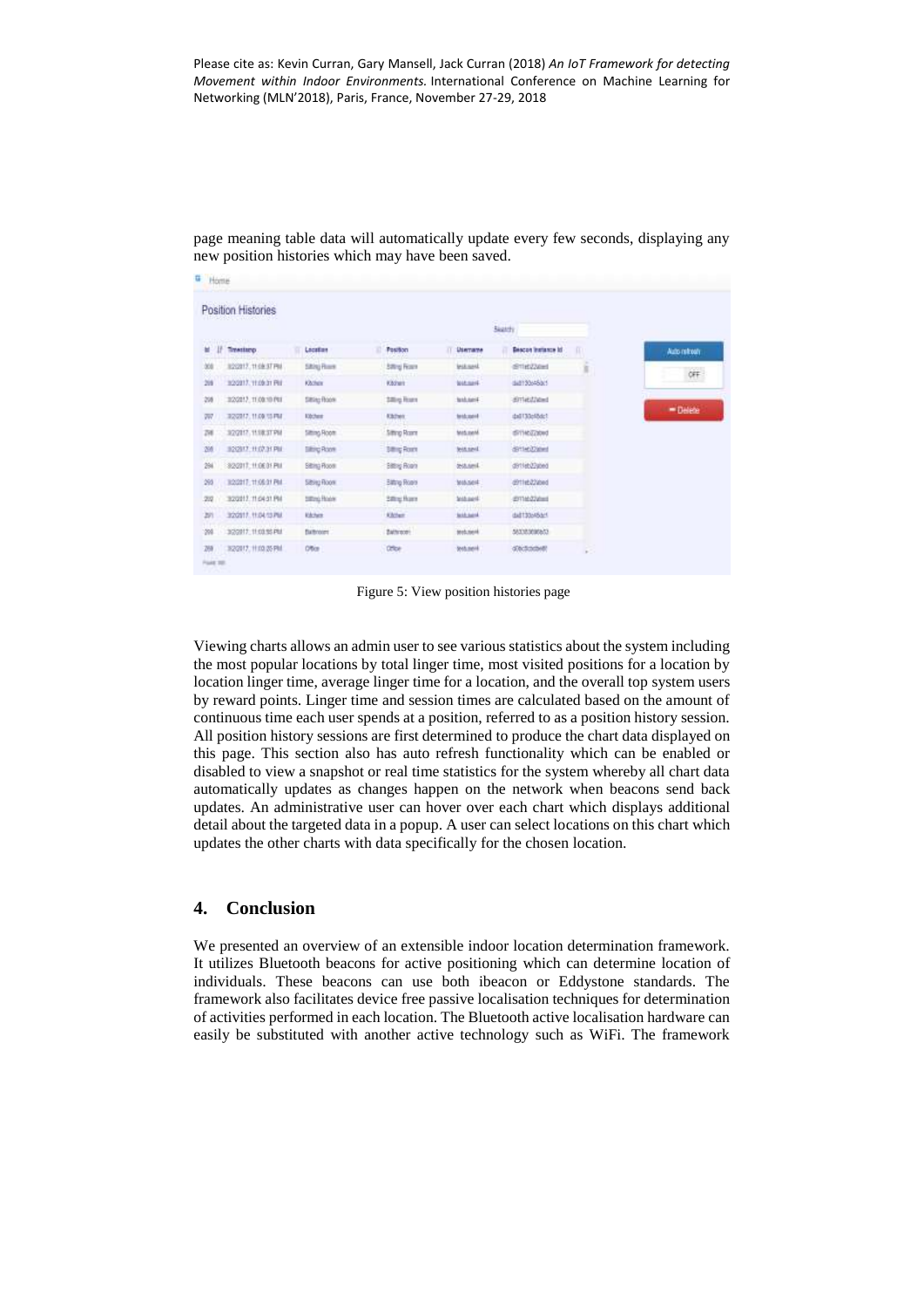|                         | Position Histories    |                     |                             |                       |                    |    |               |
|-------------------------|-----------------------|---------------------|-----------------------------|-----------------------|--------------------|----|---------------|
|                         |                       |                     |                             |                       | <b>Skatch</b>      |    |               |
| an an<br>$\blacksquare$ | Tratturp              | Location            | Postkon                     | <b>Userane</b>        | Bescon Instance Id | m  | Auto retrooty |
| 308                     | 822017, 11:06:37 PM   | <b>Siting Road</b>  | <b><i>Siling Figure</i></b> | <b>Instruct</b>       | @11st/22pmt        | ×  | OFF           |
| 208                     | 9/20017, 11:06:31 PHF | <b>Octor</b>        | <b>Kildhare</b>             | <b>Withmest</b>       | dall130/450/5      |    |               |
| 28                      | 322217, 11.09.10 PM   | Siting Book         | <b>Silling Roam</b>         | test self-            | dirticazione       |    |               |
| W                       | 322317.11.00 15 PM    | <b>Kitchee</b>      | <b>Kitchen</b>              | test med              | dall 130clibdc?    |    | - Delete      |
| 24                      | 322017.1118.37 PM     | Silling Room        | <b>Silling Roam</b>         | Mot.neM               | dirikt/200ed       |    |               |
| 256                     | 12/2017 11:07:31 PM   | <b>Litting Room</b> | <b>Billing Roam</b>         | lett neil.            | dirtiko Digied     |    |               |
| 294                     | 322017, 11 06 01 PM   | Sithing Plozom      | <b>Sitting Roam</b>         | tritiani.             | d911eb22abed       |    |               |
| 20                      | 3/2/2017 11:05:31 PM  | Sibieg Room         | <b>Battre Roars</b>         | MIA.neit              | d911eb22abed       |    |               |
| 22                      | 320217, 11.04-31.FM   | Silling Robert      | <b>Siling Horn</b>          | <b>MARGE</b>          | @7140226wd         |    |               |
| 2/1                     | 322017.11:04:13.PM    | <b>Váchez</b>       | <b>Kildler</b>              | <b>John Adole</b>     | dall130oA6dcf      |    |               |
| 298                     | 3/2/2017 11:03:55 PM  | <b>Baltimore</b>    | Battercon)                  | technick <sup>t</sup> | 55500308553        |    |               |
| 76                      | 322017, 11:00 25 PM   | Office              | <b>Office</b>               | lestingit             | d0bcBcbcbvill      | p. |               |

page meaning table data will automatically update every few seconds, displaying any new position histories which may have been saved.

Figure 5: View position histories page

Viewing charts allows an admin user to see various statistics about the system including the most popular locations by total linger time, most visited positions for a location by location linger time, average linger time for a location, and the overall top system users by reward points. Linger time and session times are calculated based on the amount of continuous time each user spends at a position, referred to as a position history session. All position history sessions are first determined to produce the chart data displayed on this page. This section also has auto refresh functionality which can be enabled or disabled to view a snapshot or real time statistics for the system whereby all chart data automatically updates as changes happen on the network when beacons send back updates. An administrative user can hover over each chart which displays additional detail about the targeted data in a popup. A user can select locations on this chart which updates the other charts with data specifically for the chosen location.

### **4. Conclusion**

We presented an overview of an extensible indoor location determination framework. It utilizes Bluetooth beacons for active positioning which can determine location of individuals. These beacons can use both ibeacon or Eddystone standards. The framework also facilitates device free passive localisation techniques for determination of activities performed in each location. The Bluetooth active localisation hardware can easily be substituted with another active technology such as WiFi. The framework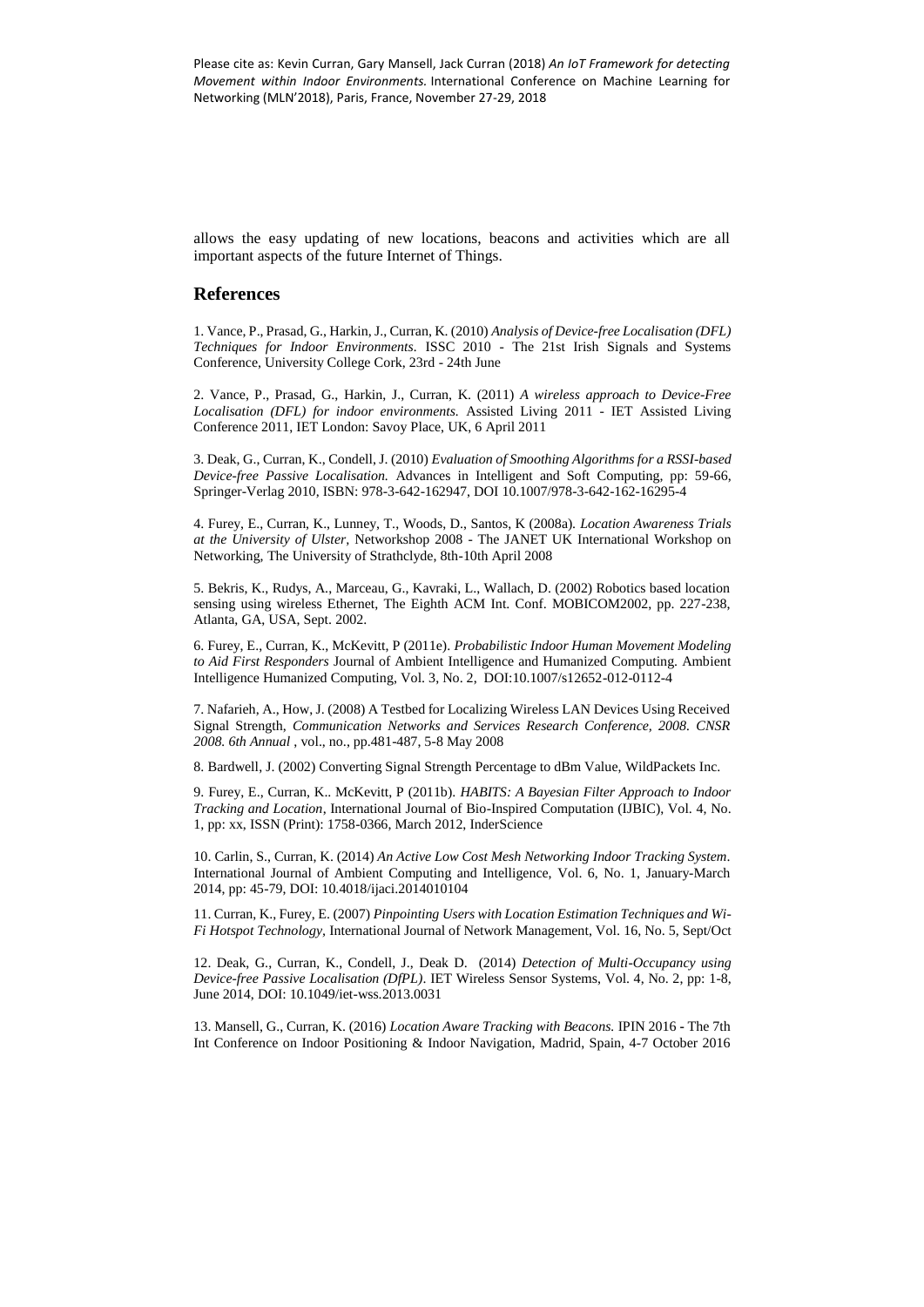allows the easy updating of new locations, beacons and activities which are all important aspects of the future Internet of Things.

### **References**

1. Vance, P., Prasad, G., Harkin, J., Curran, K. (2010) *Analysis of Device-free Localisation (DFL) Techniques for Indoor Environments.* ISSC 2010 - The 21st Irish Signals and Systems Conference, University College Cork, 23rd - 24th June

2. Vance, P., Prasad, G., Harkin, J., Curran, K. (2011) *A wireless approach to Device-Free Localisation (DFL) for indoor environments.* Assisted Living 2011 - IET Assisted Living Conference 2011, IET London: Savoy Place, UK, 6 April 2011

3. Deak, G., Curran, K., Condell, J. (2010) *Evaluation of Smoothing Algorithms for a RSSI-based Device-free Passive Localisation.* Advances in Intelligent and Soft Computing, pp: 59-66, Springer-Verlag 2010, ISBN: 978-3-642-162947, DOI 10.1007/978-3-642-162-16295-4

4. Furey, E., Curran, K., Lunney, T., Woods, D., Santos, K (2008a). *Location Awareness Trials at the University of Ulster,* Networkshop 2008 - The JANET UK International Workshop on Networking, The University of Strathclyde, 8th-10th April 2008

5. Bekris, K., Rudys, A., Marceau, G., Kavraki, L., Wallach, D. (2002) Robotics based location sensing using wireless Ethernet, The Eighth ACM Int. Conf. MOBICOM2002, pp. 227-238, Atlanta, GA, USA, Sept. 2002.

6. Furey, E., Curran, K., McKevitt, P (2011e). *Probabilistic Indoor Human Movement Modeling to Aid First Responders* Journal of Ambient Intelligence and Humanized Computing. Ambient Intelligence Humanized Computing, Vol. 3, No. 2, DOI:10.1007/s12652-012-0112-4

7. Nafarieh, A., How, J. (2008) A Testbed for Localizing Wireless LAN Devices Using Received Signal Strength, *Communication Networks and Services Research Conference, 2008. CNSR 2008. 6th Annual* , vol., no., pp.481-487, 5-8 May 2008

8. Bardwell, J. (2002) Converting Signal Strength Percentage to dBm Value, WildPackets Inc.

9. Furey, E., Curran, K.. McKevitt, P (2011b). *HABITS: A Bayesian Filter Approach to Indoor Tracking and Location*, International Journal of Bio-Inspired Computation (IJBIC), Vol. 4, No. 1, pp: xx, ISSN (Print): 1758-0366, March 2012, InderScience

10. Carlin, S., Curran, K. (2014) *An Active Low Cost Mesh Networking Indoor Tracking System*. International Journal of Ambient Computing and Intelligence, Vol. 6, No. 1, January-March 2014, pp: 45-79, DOI: 10.4018/ijaci.2014010104

11. Curran, K., Furey, E. (2007) *Pinpointing Users with Location Estimation Techniques and Wi-Fi Hotspot Technology,* International Journal of Network Management, Vol. 16, No. 5, Sept/Oct

12. Deak, G., Curran, K., Condell, J., Deak D. (2014) *Detection of Multi-Occupancy using Device-free Passive Localisation (DfPL)*. IET Wireless Sensor Systems, Vol. 4, No. 2, pp: 1-8, June 2014, DOI: 10.1049/iet-wss.2013.0031

13. Mansell, G., Curran, K. (2016) *Location Aware Tracking with Beacons.* IPIN 2016 **-** The 7th Int Conference on Indoor Positioning & Indoor Navigation, Madrid, Spain, 4-7 October 2016